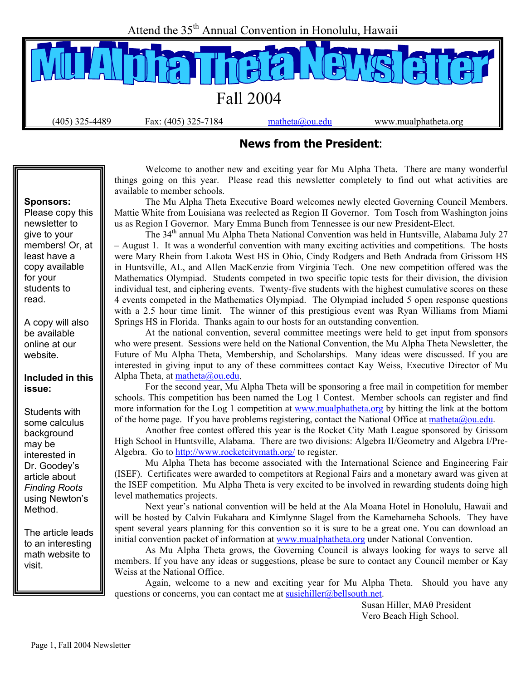Attend the 35<sup>th</sup> Annual Convention in Honolulu, Hawaii



#### **News from the President**:

 Welcome to another new and exciting year for Mu Alpha Theta. There are many wonderful things going on this year. Please read this newsletter completely to find out what activities are available to member schools.

 The Mu Alpha Theta Executive Board welcomes newly elected Governing Council Members. Mattie White from Louisiana was reelected as Region II Governor. Tom Tosch from Washington joins us as Region I Governor. Mary Emma Bunch from Tennessee is our new President-Elect.

The 34<sup>th</sup> annual Mu Alpha Theta National Convention was held in Huntsville, Alabama July 27 – August 1. It was a wonderful convention with many exciting activities and competitions. The hosts were Mary Rhein from Lakota West HS in Ohio, Cindy Rodgers and Beth Andrada from Grissom HS in Huntsville, AL, and Allen MacKenzie from Virginia Tech. One new competition offered was the Mathematics Olympiad. Students competed in two specific topic tests for their division, the division individual test, and ciphering events. Twenty-five students with the highest cumulative scores on these 4 events competed in the Mathematics Olympiad. The Olympiad included 5 open response questions with a 2.5 hour time limit. The winner of this prestigious event was Ryan Williams from Miami Springs HS in Florida. Thanks again to our hosts for an outstanding convention.

 At the national convention, several committee meetings were held to get input from sponsors who were present. Sessions were held on the National Convention, the Mu Alpha Theta Newsletter, the Future of Mu Alpha Theta, Membership, and Scholarships. Many ideas were discussed. If you are interested in giving input to any of these committees contact Kay Weiss, Executive Director of Mu Alpha Theta, at matheta@ou.edu.

 For the second year, Mu Alpha Theta will be sponsoring a free mail in competition for member schools. This competition has been named the Log 1 Contest. Member schools can register and find more information for the Log 1 competition at www.mualphatheta.org by hitting the link at the bottom of the home page. If you have problems registering, contact the National Office at matheta@ou.edu.

 Another free contest offered this year is the Rocket City Math League sponsored by Grissom High School in Huntsville, Alabama. There are two divisions: Algebra II/Geometry and Algebra I/Pre-Algebra. Go to http://www.rocketcitymath.org/ to register.

 Mu Alpha Theta has become associated with the International Science and Engineering Fair (ISEF). Certificates were awarded to competitors at Regional Fairs and a monetary award was given at the ISEF competition. Mu Alpha Theta is very excited to be involved in rewarding students doing high level mathematics projects.

 Next year's national convention will be held at the Ala Moana Hotel in Honolulu, Hawaii and will be hosted by Calvin Fukahara and Kimlynne Slagel from the Kamehameha Schools. They have spent several years planning for this convention so it is sure to be a great one. You can download an initial convention packet of information at www.mualphatheta.org under National Convention.

 As Mu Alpha Theta grows, the Governing Council is always looking for ways to serve all members. If you have any ideas or suggestions, please be sure to contact any Council member or Kay Weiss at the National Office.

 Again, welcome to a new and exciting year for Mu Alpha Theta. Should you have any questions or concerns, you can contact me at susiehiller@bellsouth.net.

> Susan Hiller, MAθ President Vero Beach High School.

#### **Sponsors:**

Please copy this newsletter to give to your members! Or, at least have a copy available for your students to read.

A copy will also be available online at our website.

#### **Included in this issue:**

Students with some calculus background may be interested in Dr. Goodey's article about *Finding Roots*  using Newton's Method.

The article leads to an interesting math website to visit.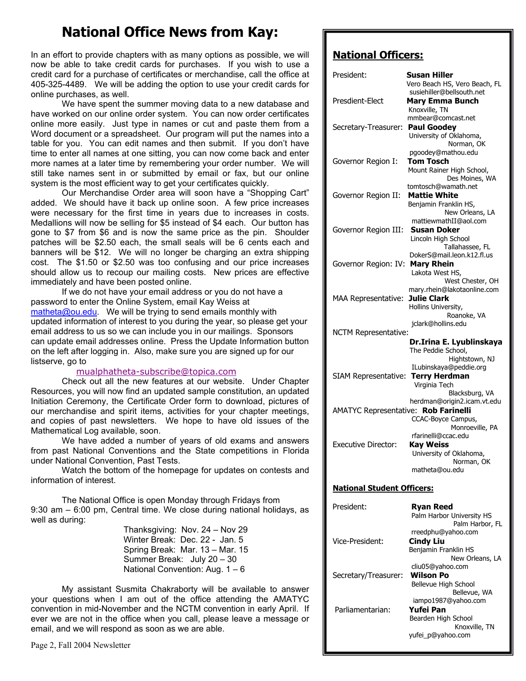### **National Office News from Kay:**

In an effort to provide chapters with as many options as possible, we will now be able to take credit cards for purchases. If you wish to use a credit card for a purchase of certificates or merchandise, call the office at 405-325-4489. We will be adding the option to use your credit cards for online purchases, as well.

 We have spent the summer moving data to a new database and have worked on our online order system. You can now order certificates online more easily. Just type in names or cut and paste them from a Word document or a spreadsheet. Our program will put the names into a table for you. You can edit names and then submit. If you don't have time to enter all names at one sitting, you can now come back and enter more names at a later time by remembering your order number. We will still take names sent in or submitted by email or fax, but our online system is the most efficient way to get your certificates quickly.

 Our Merchandise Order area will soon have a "Shopping Cart" added. We should have it back up online soon. A few price increases were necessary for the first time in years due to increases in costs. Medallions will now be selling for \$5 instead of \$4 each. Our button has gone to \$7 from \$6 and is now the same price as the pin. Shoulder patches will be \$2.50 each, the small seals will be 6 cents each and banners will be \$12. We will no longer be charging an extra shipping cost. The \$1.50 or \$2.50 was too confusing and our price increases should allow us to recoup our mailing costs. New prices are effective immediately and have been posted online.

 If we do not have your email address or you do not have a password to enter the Online System, email Kay Weiss at matheta@ou.edu. We will be trying to send emails monthly with updated information of interest to you during the year, so please get your email address to us so we can include you in our mailings. Sponsors can update email addresses online. Press the Update Information button on the left after logging in. Also, make sure you are signed up for our listserve, go to

#### mualphatheta-subscribe@topica.com

 Check out all the new features at our website. Under Chapter Resources, you will now find an updated sample constitution, an updated Initiation Ceremony, the Certificate Order form to download, pictures of our merchandise and spirit items, activities for your chapter meetings, and copies of past newsletters. We hope to have old issues of the Mathematical Log available, soon.

 We have added a number of years of old exams and answers from past National Conventions and the State competitions in Florida under National Convention, Past Tests.

 Watch the bottom of the homepage for updates on contests and information of interest.

 The National Office is open Monday through Fridays from 9:30 am – 6:00 pm, Central time. We close during national holidays, as well as during:

 Thanksgiving: Nov. 24 – Nov 29 Winter Break: Dec. 22 - Jan. 5 Spring Break: Mar. 13 – Mar. 15 Summer Break: July 20 – 30 National Convention: Aug. 1 – 6

 My assistant Susmita Chakraborty will be available to answer your questions when I am out of the office attending the AMATYC convention in mid-November and the NCTM convention in early April. If ever we are not in the office when you call, please leave a message or email, and we will respond as soon as we are able.

#### **National Officers:**

| President:                           | Susan Hiller<br>Vero Beach HS, Vero Beach, FL                                                   |
|--------------------------------------|-------------------------------------------------------------------------------------------------|
| Presdient-Elect                      | susiehiller@bellsouth.net<br><b>Mary Emma Bunch</b>                                             |
| Secretary-Treasurer:                 | Knoxville, TN<br>mmbear@comcast.net<br><b>Paul Goodey</b>                                       |
|                                      | University of Oklahoma,<br>Norman, OK<br>pgoodey@mathou.edu                                     |
| Governor Region I:                   | <b>Tom Tosch</b><br>Mount Rainer High School,<br>Des Moines, WA                                 |
| Governor Region II:                  | tomtosch@wamath.net<br><b>Mattie White</b><br>Benjamin Franklin HS,                             |
| Governor Region III:                 | New Orleans, LA<br>mattiewmathII@aol.com<br>Susan Doker                                         |
|                                      | Lincoln High School<br>Tallahassee, FL<br>DokerS@mail.leon.k12.fl.us                            |
| Governor Region: IV:                 | <b>Mary Rhein</b><br>Lakota West HS,                                                            |
| <b>MAA Representative:</b>           | West Chester, OH<br>mary.rhein@lakotaonline.com<br><b>Julie Clark</b><br>Hollins University,    |
| <b>NCTM Representative:</b>          | Roanoke, VA<br>jclark@hollins.edu                                                               |
|                                      | Dr.Irina E. Lyublinskaya<br>The Peddie School,<br>Hightstown, NJ                                |
| SIAM Representative:                 | ILubinskaya@peddie.org<br><b>Terry Herdman</b><br>Virginia Tech                                 |
| AMATYC Representative: Rob Farinelli | Blacksburg, VA<br>herdman@origin2.icam.vt.edu<br>CCAC-Boyce Campus,                             |
| <b>Executive Director:</b>           | Monroeville, PA<br>rfarinelli@ccac.edu<br><b>Kay Weiss</b><br>University of Oklahoma,           |
|                                      | Norman, OK<br>matheta@ou.edu                                                                    |
| <b>National Student Officers:</b>    |                                                                                                 |
| President:                           | <b>Ryan Reed</b><br>Palm Harbor University HS<br>Palm Harbor, FL                                |
| Vice-President:                      | rreedphu@yahoo.com<br><b>Cindy Liu</b><br>Benjamin Franklin HS                                  |
|                                      | New Orleans, LA<br>cliu05@yahoo.com                                                             |
| Secretary/Treasurer:                 | Wilson Po<br>Bellevue High School                                                               |
| Parliamentarian:                     | Bellevue, WA<br>iampo1987@yahoo.com<br><b>Yufei Pan</b><br>Bearden High School<br>Knoxville, TN |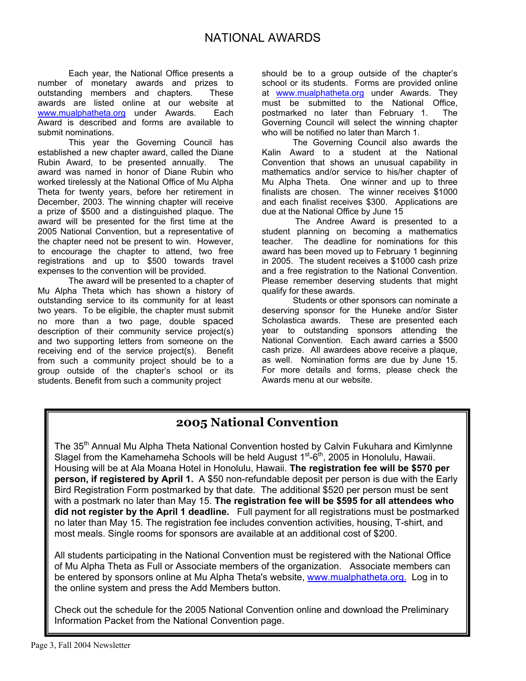Each year, the National Office presents a number of monetary awards and prizes to outstanding members and chapters. These awards are listed online at our website at www.mualphatheta.org under Awards. Each Award is described and forms are available to submit nominations.

 This year the Governing Council has established a new chapter award, called the Diane Rubin Award, to be presented annually. The award was named in honor of Diane Rubin who worked tirelessly at the National Office of Mu Alpha Theta for twenty years, before her retirement in December, 2003. The winning chapter will receive a prize of \$500 and a distinguished plaque. The award will be presented for the first time at the 2005 National Convention, but a representative of the chapter need not be present to win. However, to encourage the chapter to attend, two free registrations and up to \$500 towards travel expenses to the convention will be provided.

 The award will be presented to a chapter of Mu Alpha Theta which has shown a history of outstanding service to its community for at least two years. To be eligible, the chapter must submit no more than a two page, double spaced description of their community service project(s) and two supporting letters from someone on the receiving end of the service project(s). Benefit from such a community project should be to a group outside of the chapter's school or its students. Benefit from such a community project

should be to a group outside of the chapter's school or its students. Forms are provided online at www.mualphatheta.org under Awards. They must be submitted to the National Office, postmarked no later than February 1. The Governing Council will select the winning chapter who will be notified no later than March 1.

 The Governing Council also awards the Kalin Award to a student at the National Convention that shows an unusual capability in mathematics and/or service to his/her chapter of Mu Alpha Theta. One winner and up to three finalists are chosen. The winner receives \$1000 and each finalist receives \$300. Applications are due at the National Office by June 15

 The Andree Award is presented to a student planning on becoming a mathematics teacher. The deadline for nominations for this award has been moved up to February 1 beginning in 2005. The student receives a \$1000 cash prize and a free registration to the National Convention. Please remember deserving students that might qualify for these awards.

 Students or other sponsors can nominate a deserving sponsor for the Huneke and/or Sister Scholastica awards. These are presented each year to outstanding sponsors attending the National Convention. Each award carries a \$500 cash prize. All awardees above receive a plaque, as well. Nomination forms are due by June 15. For more details and forms, please check the Awards menu at our website.

#### **2005 National Convention**

The 35<sup>th</sup> Annual Mu Alpha Theta National Convention hosted by Calvin Fukuhara and Kimlynne Slagel from the Kamehameha Schools will be held August  $1<sup>st</sup>$ -6<sup>th</sup>, 2005 in Honolulu, Hawaii. Housing will be at Ala Moana Hotel in Honolulu, Hawaii. **The registration fee will be \$570 per person, if registered by April 1.** A \$50 non-refundable deposit per person is due with the Early Bird Registration Form postmarked by that date. The additional \$520 per person must be sent with a postmark no later than May 15. **The registration fee will be \$595 for all attendees who did not register by the April 1 deadline.** Full payment for all registrations must be postmarked no later than May 15. The registration fee includes convention activities, housing, T-shirt, and most meals. Single rooms for sponsors are available at an additional cost of \$200.

All students participating in the National Convention must be registered with the National Office of Mu Alpha Theta as Full or Associate members of the organization. Associate members can be entered by sponsors online at Mu Alpha Theta's website, www.mualphatheta.org. Log in to the online system and press the Add Members button.

Check out the schedule for the 2005 National Convention online and download the Preliminary Information Packet from the National Convention page.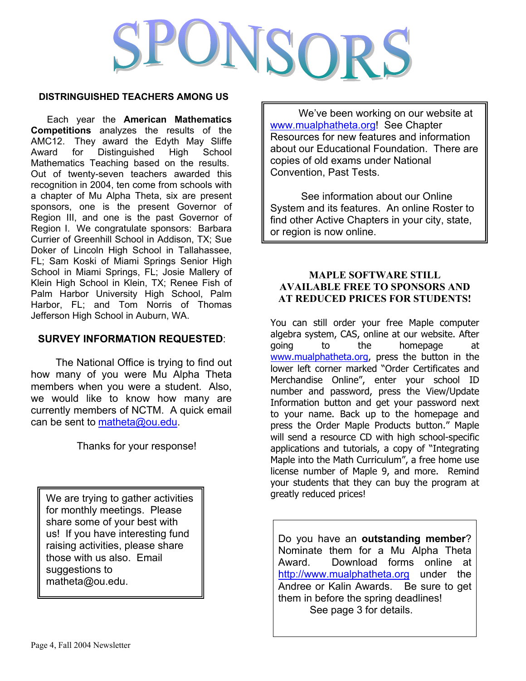# UNSOR

#### **DISTRINGUISHED TEACHERS AMONG US**

Each year the **American Mathematics Competitions** analyzes the results of the AMC12. They award the Edyth May Sliffe Award for Distinguished High School Mathematics Teaching based on the results. Out of twenty-seven teachers awarded this recognition in 2004, ten come from schools with a chapter of Mu Alpha Theta, six are present sponsors, one is the present Governor of Region III, and one is the past Governor of Region I. We congratulate sponsors: Barbara Currier of Greenhill School in Addison, TX; Sue Doker of Lincoln High School in Tallahassee, FL; Sam Koski of Miami Springs Senior High School in Miami Springs, FL; Josie Mallery of Klein High School in Klein, TX; Renee Fish of Palm Harbor University High School, Palm Harbor, FL; and Tom Norris of Thomas Jefferson High School in Auburn, WA.

#### **SURVEY INFORMATION REQUESTED**:

 The National Office is trying to find out how many of you were Mu Alpha Theta members when you were a student. Also, we would like to know how many are currently members of NCTM. A quick email can be sent to matheta@ou.edu.

Thanks for your response!

We are trying to gather activities for monthly meetings. Please share some of your best with us! If you have interesting fund raising activities, please share those with us also. Email suggestions to matheta@ou.edu.

 We've been working on our website at www.mualphatheta.org! See Chapter Resources for new features and information about our Educational Foundation. There are copies of old exams under National Convention, Past Tests.

 See information about our Online System and its features. An online Roster to find other Active Chapters in your city, state, or region is now online.

#### **MAPLE SOFTWARE STILL AVAILABLE FREE TO SPONSORS AND AT REDUCED PRICES FOR STUDENTS!**

You can still order your free Maple computer algebra system, CAS, online at our website. After going to the homepage at www.mualphatheta.org, press the button in the lower left corner marked "Order Certificates and Merchandise Online", enter your school ID number and password, press the View/Update Information button and get your password next to your name. Back up to the homepage and press the Order Maple Products button." Maple will send a resource CD with high school-specific applications and tutorials, a copy of "Integrating Maple into the Math Curriculum", a free home use license number of Maple 9, and more. Remind your students that they can buy the program at greatly reduced prices!

Do you have an **outstanding member**? Nominate them for a Mu Alpha Theta Award. Download forms online at http://www.mualphatheta.org under the Andree or Kalin Awards. Be sure to get them in before the spring deadlines! See page 3 for details.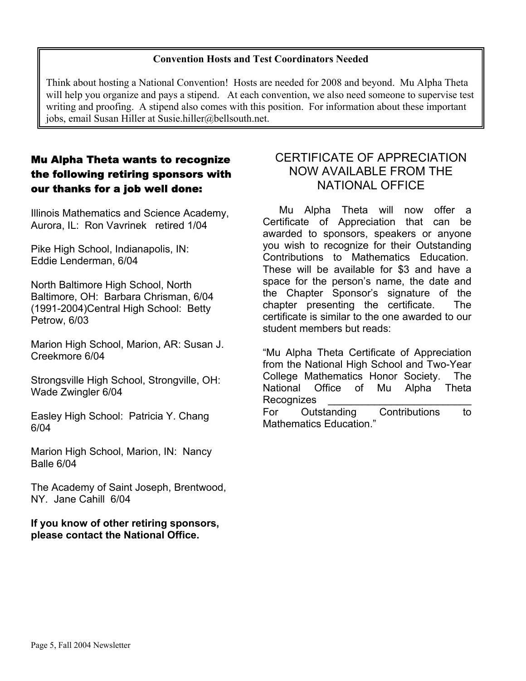#### **Convention Hosts and Test Coordinators Needed**

Think about hosting a National Convention! Hosts are needed for 2008 and beyond. Mu Alpha Theta will help you organize and pays a stipend. At each convention, we also need someone to supervise test writing and proofing. A stipend also comes with this position. For information about these important jobs, email Susan Hiller at Susie.hiller@bellsouth.net.

#### Mu Alpha Theta wants to recognize the following retiring sponsors with our thanks for a job well done:

Illinois Mathematics and Science Academy, Aurora, IL: Ron Vavrinek retired 1/04

Pike High School, Indianapolis, IN: Eddie Lenderman, 6/04

North Baltimore High School, North Baltimore, OH: Barbara Chrisman, 6/04 (1991-2004)Central High School: Betty Petrow, 6/03

Marion High School, Marion, AR: Susan J. Creekmore 6/04

Strongsville High School, Strongville, OH: Wade Zwingler 6/04

Easley High School: Patricia Y. Chang 6/04

Marion High School, Marion, IN: Nancy Balle 6/04

The Academy of Saint Joseph, Brentwood, NY. Jane Cahill 6/04

**If you know of other retiring sponsors, please contact the National Office.** 

#### CERTIFICATE OF APPRECIATION NOW AVAILABLE FROM THE NATIONAL OFFICE

 Mu Alpha Theta will now offer a Certificate of Appreciation that can be awarded to sponsors, speakers or anyone you wish to recognize for their Outstanding Contributions to Mathematics Education. These will be available for \$3 and have a space for the person's name, the date and the Chapter Sponsor's signature of the chapter presenting the certificate. The certificate is similar to the one awarded to our student members but reads:

"Mu Alpha Theta Certificate of Appreciation from the National High School and Two-Year College Mathematics Honor Society. The National Office of Mu Alpha Theta Recognizes

For Outstanding Contributions to Mathematics Education."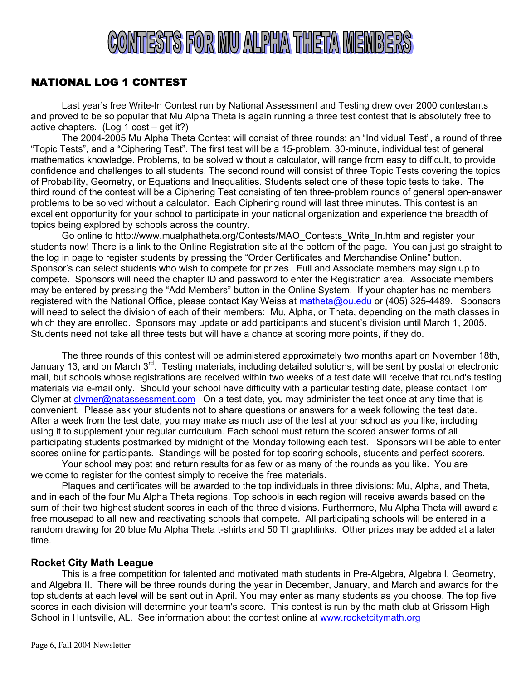# CONTESTS FOR MU ALPHA THETA MEMBERS

#### NATIONAL LOG 1 CONTEST

Last year's free Write-In Contest run by National Assessment and Testing drew over 2000 contestants and proved to be so popular that Mu Alpha Theta is again running a three test contest that is absolutely free to active chapters. (Log 1 cost – get it?)

 The 2004-2005 Mu Alpha Theta Contest will consist of three rounds: an "Individual Test", a round of three "Topic Tests", and a "Ciphering Test". The first test will be a 15-problem, 30-minute, individual test of general mathematics knowledge. Problems, to be solved without a calculator, will range from easy to difficult, to provide confidence and challenges to all students. The second round will consist of three Topic Tests covering the topics of Probability, Geometry, or Equations and Inequalities. Students select one of these topic tests to take. The third round of the contest will be a Ciphering Test consisting of ten three-problem rounds of general open-answer problems to be solved without a calculator. Each Ciphering round will last three minutes. This contest is an excellent opportunity for your school to participate in your national organization and experience the breadth of topics being explored by schools across the country.

 Go online to http://www.mualphatheta.org/Contests/MAO\_Contests\_Write\_In.htm and register your students now! There is a link to the Online Registration site at the bottom of the page. You can just go straight to the log in page to register students by pressing the "Order Certificates and Merchandise Online" button. Sponsor's can select students who wish to compete for prizes. Full and Associate members may sign up to compete. Sponsors will need the chapter ID and password to enter the Registration area. Associate members may be entered by pressing the "Add Members" button in the Online System. If your chapter has no members registered with the National Office, please contact Kay Weiss at matheta@ou.edu or (405) 325-4489. Sponsors will need to select the division of each of their members: Mu, Alpha, or Theta, depending on the math classes in which they are enrolled. Sponsors may update or add participants and student's division until March 1, 2005. Students need not take all three tests but will have a chance at scoring more points, if they do.

 The three rounds of this contest will be administered approximately two months apart on November 18th, January 13, and on March 3<sup>rd</sup>. Testing materials, including detailed solutions, will be sent by postal or electronic mail, but schools whose registrations are received within two weeks of a test date will receive that round's testing materials via e-mail only. Should your school have difficulty with a particular testing date, please contact Tom Clymer at  $clymer@natassessment.com$  On a test date, you may administer the test once at any time that is convenient. Please ask your students not to share questions or answers for a week following the test date. After a week from the test date, you may make as much use of the test at your school as you like, including using it to supplement your regular curriculum. Each school must return the scored answer forms of all participating students postmarked by midnight of the Monday following each test. Sponsors will be able to enter scores online for participants. Standings will be posted for top scoring schools, students and perfect scorers.

 Your school may post and return results for as few or as many of the rounds as you like. You are welcome to register for the contest simply to receive the free materials.

 Plaques and certificates will be awarded to the top individuals in three divisions: Mu, Alpha, and Theta, and in each of the four Mu Alpha Theta regions. Top schools in each region will receive awards based on the sum of their two highest student scores in each of the three divisions. Furthermore, Mu Alpha Theta will award a free mousepad to all new and reactivating schools that compete. All participating schools will be entered in a random drawing for 20 blue Mu Alpha Theta t-shirts and 50 TI graphlinks. Other prizes may be added at a later time.

#### **Rocket City Math League**

This is a free competition for talented and motivated math students in Pre-Algebra, Algebra I, Geometry, and Algebra II. There will be three rounds during the year in December, January, and March and awards for the top students at each level will be sent out in April. You may enter as many students as you choose. The top five scores in each division will determine your team's score. This contest is run by the math club at Grissom High School in Huntsville, AL. See information about the contest online at www.rocketcitymath.org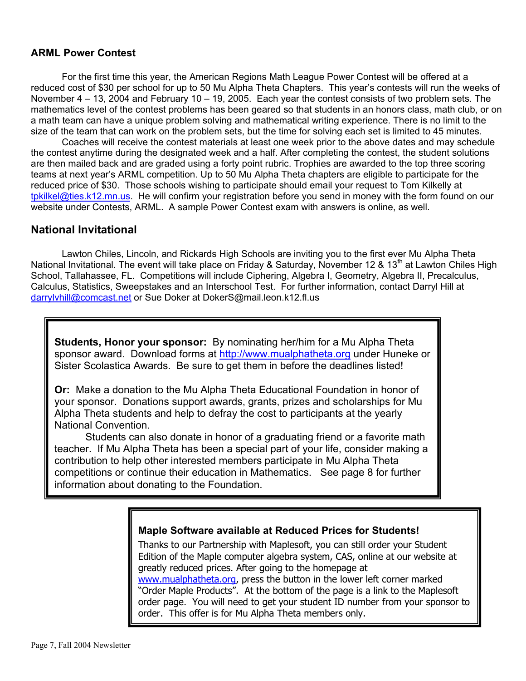#### **ARML Power Contest**

For the first time this year, the American Regions Math League Power Contest will be offered at a reduced cost of \$30 per school for up to 50 Mu Alpha Theta Chapters. This year's contests will run the weeks of November 4 – 13, 2004 and February 10 – 19, 2005. Each year the contest consists of two problem sets. The mathematics level of the contest problems has been geared so that students in an honors class, math club, or on a math team can have a unique problem solving and mathematical writing experience. There is no limit to the size of the team that can work on the problem sets, but the time for solving each set is limited to 45 minutes.

 Coaches will receive the contest materials at least one week prior to the above dates and may schedule the contest anytime during the designated week and a half. After completing the contest, the student solutions are then mailed back and are graded using a forty point rubric. Trophies are awarded to the top three scoring teams at next year's ARML competition. Up to 50 Mu Alpha Theta chapters are eligible to participate for the reduced price of \$30. Those schools wishing to participate should email your request to Tom Kilkelly at tpkilkel@ties.k12.mn.us. He will confirm your registration before you send in money with the form found on our website under Contests, ARML. A sample Power Contest exam with answers is online, as well.

#### **National Invitational**

Lawton Chiles, Lincoln, and Rickards High Schools are inviting you to the first ever Mu Alpha Theta National Invitational. The event will take place on Friday & Saturday, November 12 & 13<sup>th</sup> at Lawton Chiles High School, Tallahassee, FL. Competitions will include Ciphering, Algebra I, Geometry, Algebra II, Precalculus, Calculus, Statistics, Sweepstakes and an Interschool Test. For further information, contact Darryl Hill at darrylvhill@comcast.net or Sue Doker at DokerS@mail.leon.k12.fl.us

**Students, Honor your sponsor:** By nominating her/him for a Mu Alpha Theta sponsor award. Download forms at http://www.mualphatheta.org under Huneke or Sister Scolastica Awards. Be sure to get them in before the deadlines listed!

**Or:** Make a donation to the Mu Alpha Theta Educational Foundation in honor of your sponsor. Donations support awards, grants, prizes and scholarships for Mu Alpha Theta students and help to defray the cost to participants at the yearly National Convention.

 Students can also donate in honor of a graduating friend or a favorite math teacher. If Mu Alpha Theta has been a special part of your life, consider making a contribution to help other interested members participate in Mu Alpha Theta competitions or continue their education in Mathematics. See page 8 for further information about donating to the Foundation.

#### **Maple Software available at Reduced Prices for Students!**

Thanks to our Partnership with Maplesoft, you can still order your Student Edition of the Maple computer algebra system, CAS, online at our website at greatly reduced prices. After going to the homepage at www.mualphatheta.org, press the button in the lower left corner marked "Order Maple Products". At the bottom of the page is a link to the Maplesoft order page. You will need to get your student ID number from your sponsor to order. This offer is for Mu Alpha Theta members only.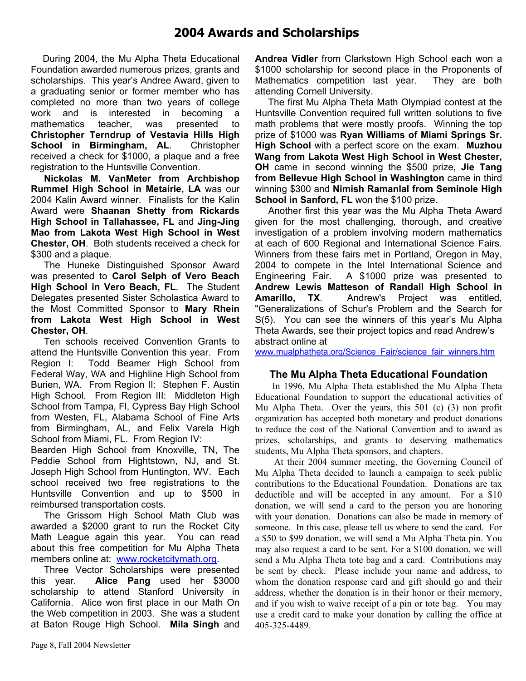#### **2004 Awards and Scholarships**

 During 2004, the Mu Alpha Theta Educational Foundation awarded numerous prizes, grants and scholarships. This year's Andree Award, given to a graduating senior or former member who has completed no more than two years of college work and is interested in becoming a mathematics teacher, was presented to **Christopher Terndrup of Vestavia Hills High School in Birmingham, AL**. Christopher received a check for \$1000, a plaque and a free registration to the Huntsville Convention.

 **Nickolas M. VanMeter from Archbishop Rummel High School in Metairie, LA** was our 2004 Kalin Award winner. Finalists for the Kalin Award were **Shaanan Shetty from Rickards High School in Tallahassee, FL** and **Jing-Jing Mao from Lakota West High School in West Chester, OH**. Both students received a check for \$300 and a plaque.

 The Huneke Distinguished Sponsor Award was presented to **Carol Selph of Vero Beach High School in Vero Beach, FL**. The Student Delegates presented Sister Scholastica Award to the Most Committed Sponsor to **Mary Rhein from Lakota West High School in West Chester, OH**.

 Ten schools received Convention Grants to attend the Huntsville Convention this year. From Region I: Todd Beamer High School from Federal Way, WA and Highline High School from Burien, WA. From Region II: Stephen F. Austin High School. From Region III: Middleton High School from Tampa, Fl, Cypress Bay High School from Westen, FL, Alabama School of Fine Arts from Birmingham, AL, and Felix Varela High School from Miami, FL. From Region IV:

Bearden High School from Knoxville, TN, The Peddie School from Hightstown, NJ, and St. Joseph High School from Huntington, WV. Each school received two free registrations to the Huntsville Convention and up to \$500 in reimbursed transportation costs.

 The Grissom High School Math Club was awarded a \$2000 grant to run the Rocket City Math League again this year. You can read about this free competition for Mu Alpha Theta members online at: www.rocketcitymath.org.

 Three Vector Scholarships were presented this year. **Alice Pang** used her \$3000 scholarship to attend Stanford University in California. Alice won first place in our Math On the Web competition in 2003. She was a student at Baton Rouge High School. **Mila Singh** and **Andrea Vidler** from Clarkstown High School each won a \$1000 scholarship for second place in the Proponents of Mathematics competition last year. They are both attending Cornell University.

 The first Mu Alpha Theta Math Olympiad contest at the Huntsville Convention required full written solutions to five math problems that were mostly proofs. Winning the top prize of \$1000 was **Ryan Williams of Miami Springs Sr. High School** with a perfect score on the exam. **Muzhou Wang from Lakota West High School in West Chester, OH** came in second winning the \$500 prize, **Jie Tang from Bellevue High School in Washington** came in third winning \$300 and **Nimish Ramanlal from Seminole High School in Sanford, FL** won the \$100 prize.

 Another first this year was the Mu Alpha Theta Award given for the most challenging, thorough, and creative investigation of a problem involving modern mathematics at each of 600 Regional and International Science Fairs. Winners from these fairs met in Portland, Oregon in May, 2004 to compete in the Intel International Science and Engineering Fair. A \$1000 prize was presented to **Andrew Lewis Matteson of Randall High School in Amarillo, TX**. Andrew's Project was entitled, "Generalizations of Schur's Problem and the Search for S(5). You can see the winners of this year's Mu Alpha Theta Awards, see their project topics and read Andrew's abstract online at

www.mualphatheta.org/Science\_Fair/science\_fair\_winners.htm

#### **The Mu Alpha Theta Educational Foundation**

 In 1996, Mu Alpha Theta established the Mu Alpha Theta Educational Foundation to support the educational activities of Mu Alpha Theta. Over the years, this 501 (c) (3) non profit organization has accepted both monetary and product donations to reduce the cost of the National Convention and to award as prizes, scholarships, and grants to deserving mathematics students, Mu Alpha Theta sponsors, and chapters.

 At their 2004 summer meeting, the Governing Council of Mu Alpha Theta decided to launch a campaign to seek public contributions to the Educational Foundation. Donations are tax deductible and will be accepted in any amount. For a \$10 donation, we will send a card to the person you are honoring with your donation. Donations can also be made in memory of someone. In this case, please tell us where to send the card. For a \$50 to \$99 donation, we will send a Mu Alpha Theta pin. You may also request a card to be sent. For a \$100 donation, we will send a Mu Alpha Theta tote bag and a card. Contributions may be sent by check. Please include your name and address, to whom the donation response card and gift should go and their address, whether the donation is in their honor or their memory, and if you wish to waive receipt of a pin or tote bag. You may use a credit card to make your donation by calling the office at 405-325-4489.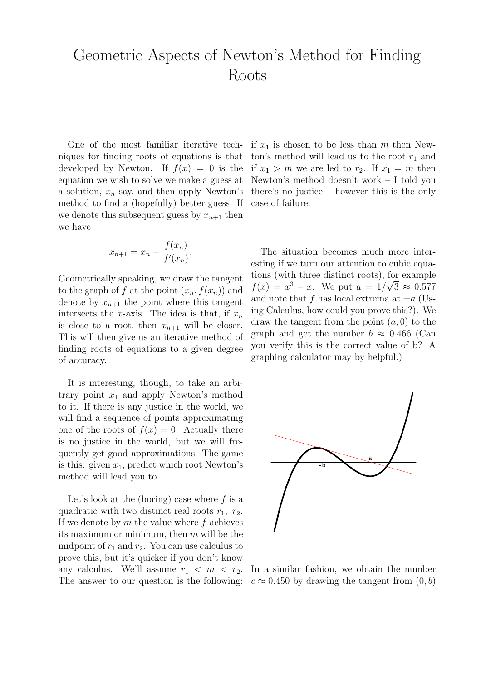## Geometric Aspects of Newton's Method for Finding Roots

One of the most familiar iterative techniques for finding roots of equations is that developed by Newton. If  $f(x) = 0$  is the equation we wish to solve we make a guess at a solution,  $x_n$  say, and then apply Newton's method to find a (hopefully) better guess. If we denote this subsequent guess by  $x_{n+1}$  then we have

$$
x_{n+1} = x_n - \frac{f(x_n)}{f'(x_n)}.
$$

Geometrically speaking, we draw the tangent to the graph of f at the point  $(x_n, f(x_n))$  and denote by  $x_{n+1}$  the point where this tangent intersects the x-axis. The idea is that, if  $x_n$ is close to a root, then  $x_{n+1}$  will be closer. This will then give us an iterative method of finding roots of equations to a given degree of accuracy.

It is interesting, though, to take an arbitrary point  $x_1$  and apply Newton's method to it. If there is any justice in the world, we will find a sequence of points approximating one of the roots of  $f(x) = 0$ . Actually there is no justice in the world, but we will frequently get good approximations. The game is this: given  $x_1$ , predict which root Newton's method will lead you to.

Let's look at the (boring) case where  $f$  is a quadratic with two distinct real roots  $r_1$ ,  $r_2$ . If we denote by  $m$  the value where  $f$  achieves its maximum or minimum, then  $m$  will be the midpoint of  $r_1$  and  $r_2$ . You can use calculus to prove this, but it's quicker if you don't know any calculus. We'll assume  $r_1 < m < r_2$ . The answer to our question is the following: if  $x_1$  is chosen to be less than m then Newton's method will lead us to the root  $r_1$  and if  $x_1 > m$  we are led to  $r_2$ . If  $x_1 = m$  then Newton's method doesn't work – I told you there's no justice – however this is the only case of failure.

The situation becomes much more interesting if we turn our attention to cubic equations (with three distinct roots), for example  $f(x) = x^3 - x$ . We put  $a = 1/\sqrt{3} \approx 0.577$ and note that f has local extrema at  $\pm a$  (Using Calculus, how could you prove this?). We draw the tangent from the point  $(a, 0)$  to the graph and get the number  $b \approx 0.466$  (Can you verify this is the correct value of b? A graphing calculator may by helpful.)



In a similar fashion, we obtain the number  $c \approx 0.450$  by drawing the tangent from  $(0, b)$